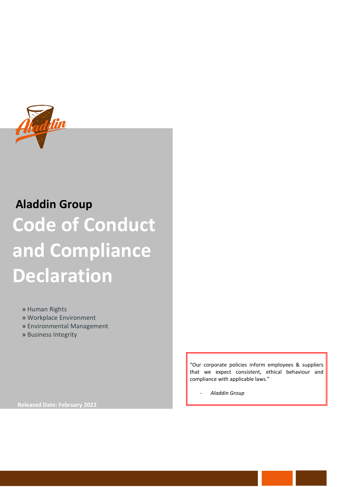

# **Aladdin Group Code of Conduct and Compliance Declaration**

 **»** Human Rights

 **»** Workplace Environment

- **»** Environmental Management
- **»** Business Integrity

"Our corporate policies inform employees & suppliers that we expect consistent, ethical behaviour and compliance with applicable laws."

*- Aladdin Group*

**Released Date: February 2022**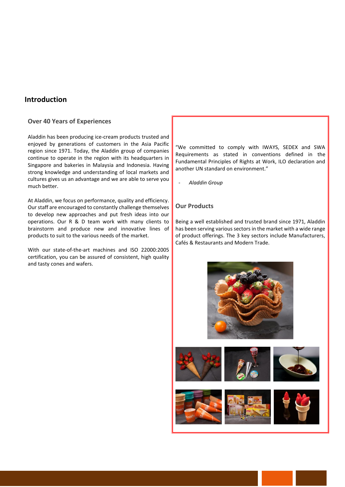# **Introduction**

#### **Over 40 Years of Experiences**

Aladdin has been producing ice-cream products trusted and enjoyed by generations of customers in the Asia Pacific region since 1971. Today, the Aladdin group of companies continue to operate in the region with its headquarters in Singapore and bakeries in Malaysia and Indonesia. Having strong knowledge and understanding of local markets and cultures gives us an advantage and we are able to serve you much better.

At Aladdin, we focus on performance, quality and efficiency. Our staff are encouraged to constantly challenge themselves to develop new approaches and put fresh ideas into our operations. Our R & D team work with many clients to brainstorm and produce new and innovative lines of products to suit to the various needs of the market.

With our state-of-the-art machines and ISO 22000:2005 certification, you can be assured of consistent, high quality and tasty cones and wafers.

"We committed to comply with IWAYS, SEDEX and SWA Requirements as stated in conventions defined in the Fundamental Principles of Rights at Work, ILO declaration and another UN standard on environment."

- *Aladdin Group*

#### **Our Products**

Being a well established and trusted brand since 1971, Aladdin has been serving various sectors in the market with a wide range of product offerings. The 3 key sectors include Manufacturers, Cafés & Restaurants and Modern Trade.

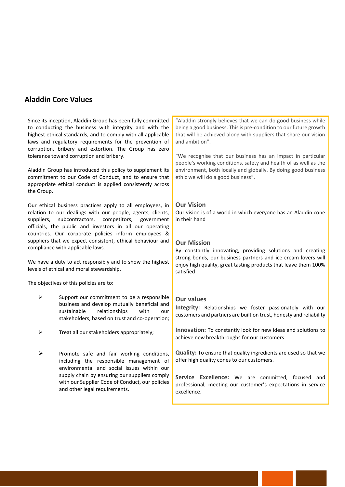# **Aladdin Core Values**

Since its inception, Aladdin Group has been fully committed to conducting the business with integrity and with the highest ethical standards, and to comply with all applicable laws and regulatory requirements for the prevention of corruption, bribery and extortion. The Group has zero tolerance toward corruption and bribery.

Aladdin Group has introduced this policy to supplement its commitment to our Code of Conduct, and to ensure that appropriate ethical conduct is applied consistently across the Group.

Our ethical business practices apply to all employees, in relation to our dealings with our people, agents, clients, suppliers, subcontractors, competitors, government officials, the public and investors in all our operating countries. Our corporate policies inform employees & suppliers that we expect consistent, ethical behaviour and compliance with applicable laws.

We have a duty to act responsibly and to show the highest levels of ethical and moral stewardship.

The objectives of this policies are to:

- Support our commitment to be a responsible business and develop mutually beneficial and sustainable relationships with our stakeholders, based on trust and co-operation;
- Treat all our stakeholders appropriately;
- ➢ Promote safe and fair working conditions, including the responsible management of environmental and social issues within our supply chain by ensuring our suppliers comply with our Supplier Code of Conduct, our policies and other legal requirements.

"Aladdin strongly believes that we can do good business while being a good business. This is pre-condition to our future growth that will be achieved along with suppliers that share our vision and ambition".

"We recognise that our business has an impact in particular people's working conditions, safety and health of as well as the environment, both locally and globally. By doing good business ethic we will do a good business".

#### **Our Vision**

Our vision is of a world in which everyone has an Aladdin cone in their hand

#### **Our Mission**

By constantly innovating, providing solutions and creating strong bonds, our business partners and ice cream lovers will enjoy high quality, great tasting products that leave them 100% satisfied

#### **Our values**

**Integrity:** Relationships we foster passionately with our customers and partners are built on trust, honesty and reliability

**Innovation:** To constantly look for new ideas and solutions to achieve new breakthroughs for our customers

**Quality:** To ensure that quality ingredients are used so that we offer high quality cones to our customers.

**Service Excellence:** We are committed, focused and professional, meeting our customer's expectations in service excellence.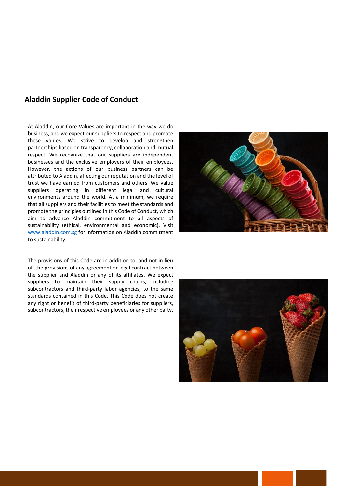# **Aladdin Supplier Code of Conduct**

At Aladdin, our Core Values are important in the way we do business, and we expect our suppliers to respect and promote these values. We strive to develop and strengthen partnerships based on transparency, collaboration and mutual respect. We recognize that our suppliers are independent businesses and the exclusive employers of their employees. However, the actions of our business partners can be attributed to Aladdin, affecting our reputation and the level of trust we have earned from customers and others. We value suppliers operating in different legal and cultural environments around the world. At a minimum, we require that all suppliers and their facilities to meet the standards and promote the principles outlined in this Code of Conduct, which aim to advance Aladdin commitment to all aspects of sustainability (ethical, environmental and economic). Visit [www.aladdin.com.sg](http://www.aladdin.com.sg/) for information on Aladdin commitment to sustainability.

The provisions of this Code are in addition to, and not in lieu of, the provisions of any agreement or legal contract between the supplier and Aladdin or any of its affiliates. We expect suppliers to maintain their supply chains, including subcontractors and third-party labor agencies, to the same standards contained in this Code. This Code does not create any right or benefit of third-party beneficiaries for suppliers, subcontractors, their respective employees or any other party.

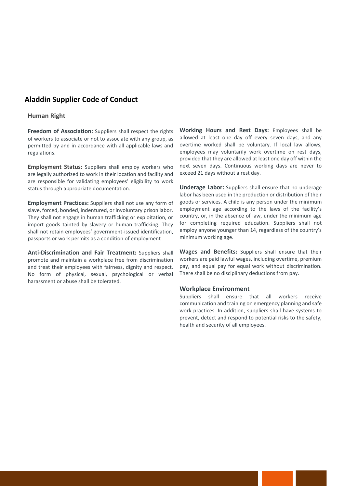# **Aladdin Supplier Code of Conduct**

#### **Human Right**

**Freedom of Association:** Suppliers shall respect the rights of workers to associate or not to associate with any group, as permitted by and in accordance with all applicable laws and regulations.

**Employment Status:** Suppliers shall employ workers who are legally authorized to work in their location and facility and are responsible for validating employees' eligibility to work status through appropriate documentation.

**Employment Practices:** Suppliers shall not use any form of slave, forced, bonded, indentured, or involuntary prison labor. They shall not engage in human trafficking or exploitation, or import goods tainted by slavery or human trafficking. They shall not retain employees' government-issued identification, passports or work permits as a condition of employment

**Anti-Discrimination and Fair Treatment:** Suppliers shall promote and maintain a workplace free from discrimination and treat their employees with fairness, dignity and respect. No form of physical, sexual, psychological or verbal harassment or abuse shall be tolerated.

**Working Hours and Rest Days:** Employees shall be allowed at least one day off every seven days, and any overtime worked shall be voluntary. If local law allows, employees may voluntarily work overtime on rest days, provided that they are allowed at least one day off within the next seven days. Continuous working days are never to exceed 21 days without a rest day.

**Underage Labor:** Suppliers shall ensure that no underage labor has been used in the production or distribution of their goods or services. A child is any person under the minimum employment age according to the laws of the facility's country, or, in the absence of law, under the minimum age for completing required education. Suppliers shall not employ anyone younger than 14, regardless of the country's minimum working age.

**Wages and Benefits:** Suppliers shall ensure that their workers are paid lawful wages, including overtime, premium pay, and equal pay for equal work without discrimination. There shall be no disciplinary deductions from pay.

#### **Workplace Environment**

Suppliers shall ensure that all workers receive communication and training on emergency planning and safe work practices. In addition, suppliers shall have systems to prevent, detect and respond to potential risks to the safety, health and security of all employees.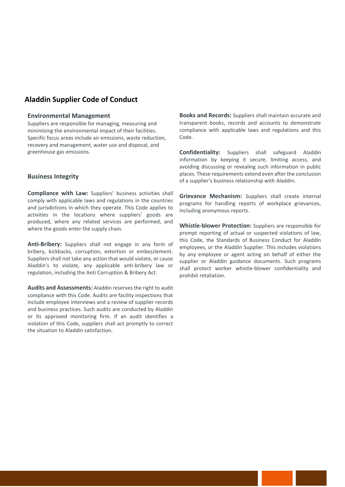# **Aladdin Supplier Code of Conduct**

#### **Environmental Management**

Suppliers are responsible for managing, measuring and minimizing the environmental impact of their facilities. Specific focus areas include air emissions, waste reduction, recovery and management, water use and disposal, and greenhouse gas emissions.

#### **Business Integrity**

**Compliance with Law:** Suppliers' business activities shall comply with applicable laws and regulations in the countries and jurisdictions in which they operate. This Code applies to activities in the locations where suppliers' goods are produced, where any related services are performed, and where the goods enter the supply chain.

**Anti-Bribery:** Suppliers shall not engage in any form of bribery, kickbacks, corruption, extortion or embezzlement. Suppliers shall not take any action that would violate, or cause Aladdin's to violate, any applicable anti-bribery law or regulation, including the Anti Corruption & Bribery Act.

**Audits and Assessments:** Aladdin reserves the right to audit compliance with this Code. Audits are facility inspections that include employee interviews and a review of supplier records and business practices. Such audits are conducted by Aladdin or its approved monitoring firm. If an audit identifies a violation of this Code, suppliers shall act promptly to correct the situation to Aladdin satisfaction.

**Books and Records:** Suppliers shall maintain accurate and transparent books, records and accounts to demonstrate compliance with applicable laws and regulations and this Code.

**Confidentiality:** Suppliers shall safeguard Aladdin information by keeping it secure, limiting access, and avoiding discussing or revealing such information in public places. These requirements extend even after the conclusion of a supplier's business relationship with Aladdin.

**Grievance Mechanism:** Suppliers shall create internal programs for handling reports of workplace grievances, including anonymous reports.

**Whistle-blower Protection:** Suppliers are responsible for prompt reporting of actual or suspected violations of law, this Code, the Standards of Business Conduct for Aladdin employees, or the Aladdin Supplier. This includes violations by any employee or agent acting on behalf of either the supplier or Aladdin guidance documents. Such programs shall protect worker whistle-blower confidentiality and prohibit retaliation.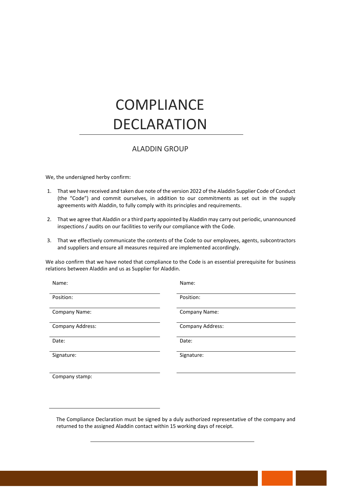# **COMPLIANCE** DECLARATION

# ALADDIN GROUP

We, the undersigned herby confirm:

- 1. That we have received and taken due note of the version 2022 of the Aladdin Supplier Code of Conduct (the "Code") and commit ourselves, in addition to our commitments as set out in the supply agreements with Aladdin, to fully comply with its principles and requirements.
- 2. That we agree that Aladdin or a third party appointed by Aladdin may carry out periodic, unannounced inspections / audits on our facilities to verify our compliance with the Code.
- 3. That we effectively communicate the contents of the Code to our employees, agents, subcontractors and suppliers and ensure all measures required are implemented accordingly.

We also confirm that we have noted that compliance to the Code is an essential prerequisite for business relations between Aladdin and us as Supplier for Aladdin.

| Name:            | Name:                   |
|------------------|-------------------------|
| Position:        | Position:               |
| Company Name:    | Company Name:           |
| Company Address: | <b>Company Address:</b> |
| Date:            | Date:                   |
| Signature:       | Signature:              |
| Company stamp:   |                         |

The Compliance Declaration must be signed by a duly authorized representative of the company and returned to the assigned Aladdin contact within 15 working days of receipt.